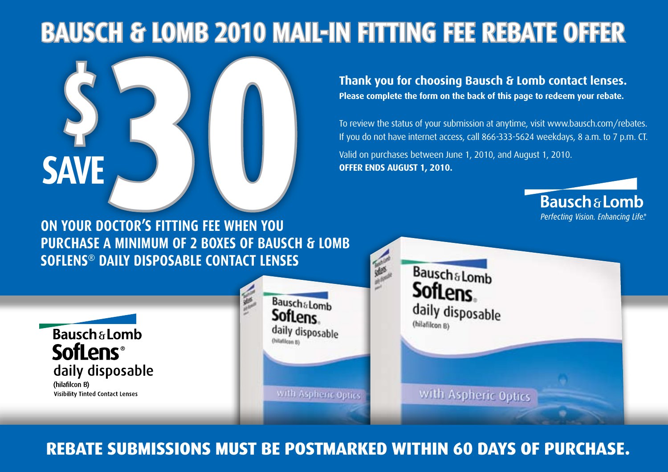# **Bausch & Lomb 2010 Mail-in FITTING FEE Rebate Offer**



(hilafilcon B)

**Thank you for choosing Bausch & Lomb contact lenses. Please complete the form on the back of this page to redeem your rebate.**

> **Bausch&Lomb SofLens**

daily disposable

(hilafilcon B)

To review the status of your submission at anytime, visit www.bausch.com/rebates. If you do not have internet access, call 866-333-5624 weekdays, 8 a.m. to 7 p.m. CT. Valid on purchases between June 1, 2010, and August 1, 2010. **Offer ends August 1, 2010.**

> **Bausch & Lomb** Perfecting Vision. Enhancing Life.

with Aspheric Optics with Aspheric Optics **Visibility Tinted Contact Lenses Rebate submissions must be postmarked within 60 days of purchase.**